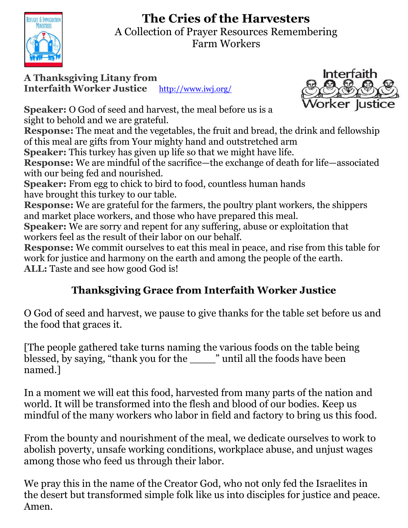# **The Cries of the Harvesters**



A Collection of Prayer Resources Remembering Farm Workers

**A Thanksgiving Litany from Interfaith Worker Justice** <http://www.iwj.org/>



**Speaker:** O God of seed and harvest, the meal before us is a sight to behold and we are grateful.

**Response:** The meat and the vegetables, the fruit and bread, the drink and fellowship of this meal are gifts from Your mighty hand and outstretched arm

**Speaker:** This turkey has given up life so that we might have life.

**Response:** We are mindful of the sacrifice—the exchange of death for life—associated with our being fed and nourished.

**Speaker:** From egg to chick to bird to food, countless human hands have brought this turkey to our table.

**Response:** We are grateful for the farmers, the poultry plant workers, the shippers and market place workers, and those who have prepared this meal.

**Speaker:** We are sorry and repent for any suffering, abuse or exploitation that workers feel as the result of their labor on our behalf.

**Response:** We commit ourselves to eat this meal in peace, and rise from this table for work for justice and harmony on the earth and among the people of the earth. **ALL:** Taste and see how good God is!

## **Thanksgiving Grace from Interfaith Worker Justice**

O God of seed and harvest, we pause to give thanks for the table set before us and the food that graces it.

[The people gathered take turns naming the various foods on the table being blessed, by saying, "thank you for the \_\_\_\_" until all the foods have been named.]

In a moment we will eat this food, harvested from many parts of the nation and world. It will be transformed into the flesh and blood of our bodies. Keep us mindful of the many workers who labor in field and factory to bring us this food.

From the bounty and nourishment of the meal, we dedicate ourselves to work to abolish poverty, unsafe working conditions, workplace abuse, and unjust wages among those who feed us through their labor.

We pray this in the name of the Creator God, who not only fed the Israelites in the desert but transformed simple folk like us into disciples for justice and peace. Amen.